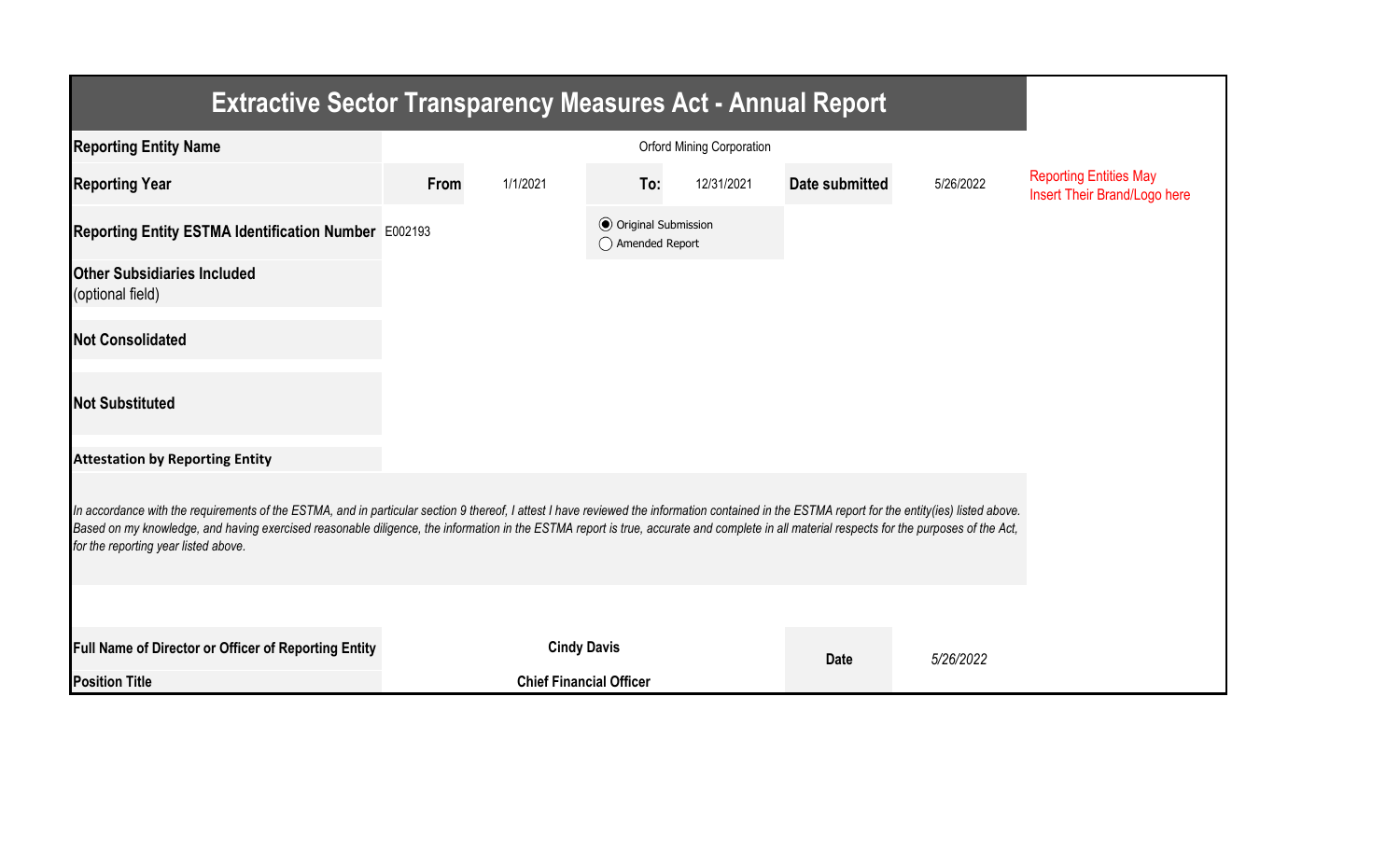| <b>Extractive Sector Transparency Measures Act - Annual Report</b>                                                                                                                                                                                                                                                                                                                                                                    |      |                                |                                                  |            |                |           |                                                               |  |  |  |
|---------------------------------------------------------------------------------------------------------------------------------------------------------------------------------------------------------------------------------------------------------------------------------------------------------------------------------------------------------------------------------------------------------------------------------------|------|--------------------------------|--------------------------------------------------|------------|----------------|-----------|---------------------------------------------------------------|--|--|--|
| <b>Reporting Entity Name</b>                                                                                                                                                                                                                                                                                                                                                                                                          |      |                                |                                                  |            |                |           |                                                               |  |  |  |
| <b>Reporting Year</b>                                                                                                                                                                                                                                                                                                                                                                                                                 | From | 1/1/2021                       | To:                                              | 12/31/2021 | Date submitted | 5/26/2022 | <b>Reporting Entities May</b><br>Insert Their Brand/Logo here |  |  |  |
| Reporting Entity ESTMA Identification Number E002193                                                                                                                                                                                                                                                                                                                                                                                  |      |                                | <b>◎</b> Original Submission<br>◯ Amended Report |            |                |           |                                                               |  |  |  |
| <b>Other Subsidiaries Included</b><br>(optional field)                                                                                                                                                                                                                                                                                                                                                                                |      |                                |                                                  |            |                |           |                                                               |  |  |  |
| <b>Not Consolidated</b>                                                                                                                                                                                                                                                                                                                                                                                                               |      |                                |                                                  |            |                |           |                                                               |  |  |  |
| <b>Not Substituted</b>                                                                                                                                                                                                                                                                                                                                                                                                                |      |                                |                                                  |            |                |           |                                                               |  |  |  |
| <b>Attestation by Reporting Entity</b>                                                                                                                                                                                                                                                                                                                                                                                                |      |                                |                                                  |            |                |           |                                                               |  |  |  |
| In accordance with the requirements of the ESTMA, and in particular section 9 thereof, I attest I have reviewed the information contained in the ESTMA report for the entity(ies) listed above.<br>Based on my knowledge, and having exercised reasonable diligence, the information in the ESTMA report is true, accurate and complete in all material respects for the purposes of the Act,<br>for the reporting year listed above. |      |                                |                                                  |            |                |           |                                                               |  |  |  |
|                                                                                                                                                                                                                                                                                                                                                                                                                                       |      |                                |                                                  |            |                |           |                                                               |  |  |  |
| Full Name of Director or Officer of Reporting Entity                                                                                                                                                                                                                                                                                                                                                                                  |      | <b>Cindy Davis</b>             |                                                  |            | <b>Date</b>    | 5/26/2022 |                                                               |  |  |  |
| <b>Position Title</b>                                                                                                                                                                                                                                                                                                                                                                                                                 |      | <b>Chief Financial Officer</b> |                                                  |            |                |           |                                                               |  |  |  |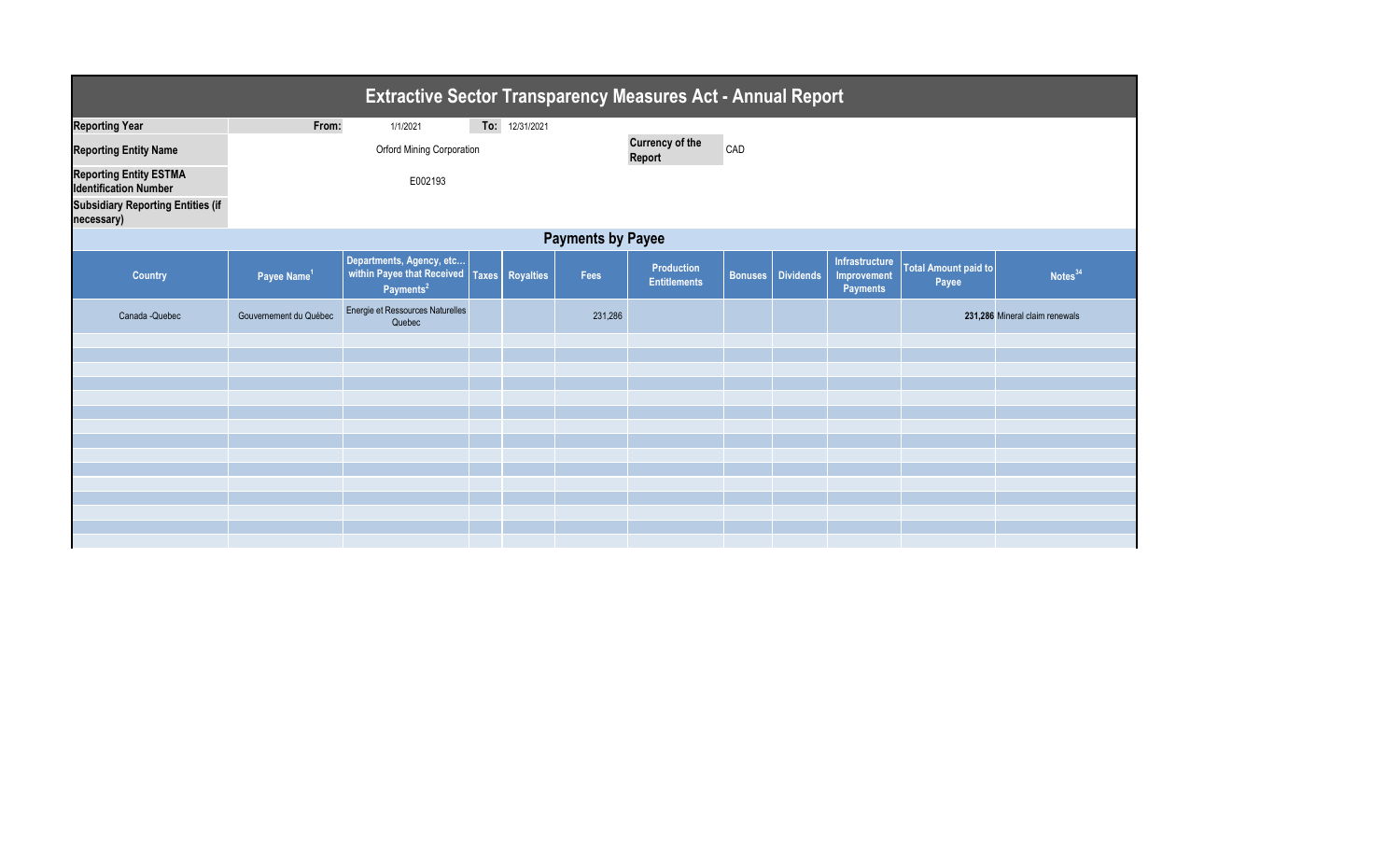| <b>Extractive Sector Transparency Measures Act - Annual Report</b> |                           |                                                                                 |  |                 |         |                                          |  |                   |                                                  |                                      |                                |
|--------------------------------------------------------------------|---------------------------|---------------------------------------------------------------------------------|--|-----------------|---------|------------------------------------------|--|-------------------|--------------------------------------------------|--------------------------------------|--------------------------------|
| <b>Reporting Year</b>                                              | From:                     | 1/1/2021                                                                        |  | To: 12/31/2021  |         |                                          |  |                   |                                                  |                                      |                                |
| <b>Reporting Entity Name</b>                                       | Orford Mining Corporation |                                                                                 |  |                 |         | <b>Currency of the</b><br>CAD<br>Report  |  |                   |                                                  |                                      |                                |
| <b>Reporting Entity ESTMA</b><br><b>Identification Number</b>      |                           |                                                                                 |  |                 |         |                                          |  |                   |                                                  |                                      |                                |
| <b>Subsidiary Reporting Entities (if</b><br>necessary)             |                           |                                                                                 |  |                 |         |                                          |  |                   |                                                  |                                      |                                |
| <b>Payments by Payee</b>                                           |                           |                                                                                 |  |                 |         |                                          |  |                   |                                                  |                                      |                                |
| <b>Country</b>                                                     | Payee Name <sup>1</sup>   | Departments, Agency, etc<br>within Payee that Received<br>Payments <sup>2</sup> |  | Taxes Royalties | Fees    | <b>Production</b><br><b>Entitlements</b> |  | Bonuses Dividends | Infrastructure<br>Improvement<br><b>Payments</b> | <b>Total Amount paid to</b><br>Payee | Notes <sup>34</sup>            |
| Canada - Quebec                                                    | Gouvernement du Québec    | Energie et Ressources Naturelles<br>Quebec                                      |  |                 | 231,286 |                                          |  |                   |                                                  |                                      | 231,286 Mineral claim renewals |
|                                                                    |                           |                                                                                 |  |                 |         |                                          |  |                   |                                                  |                                      |                                |
|                                                                    |                           |                                                                                 |  |                 |         |                                          |  |                   |                                                  |                                      |                                |
|                                                                    |                           |                                                                                 |  |                 |         |                                          |  |                   |                                                  |                                      |                                |
|                                                                    |                           |                                                                                 |  |                 |         |                                          |  |                   |                                                  |                                      |                                |
|                                                                    |                           |                                                                                 |  |                 |         |                                          |  |                   |                                                  |                                      |                                |
|                                                                    |                           |                                                                                 |  |                 |         |                                          |  |                   |                                                  |                                      |                                |
|                                                                    |                           |                                                                                 |  |                 |         |                                          |  |                   |                                                  |                                      |                                |
|                                                                    |                           |                                                                                 |  |                 |         |                                          |  |                   |                                                  |                                      |                                |
|                                                                    |                           |                                                                                 |  |                 |         |                                          |  |                   |                                                  |                                      |                                |
|                                                                    |                           |                                                                                 |  |                 |         |                                          |  |                   |                                                  |                                      |                                |
|                                                                    |                           |                                                                                 |  |                 |         |                                          |  |                   |                                                  |                                      |                                |